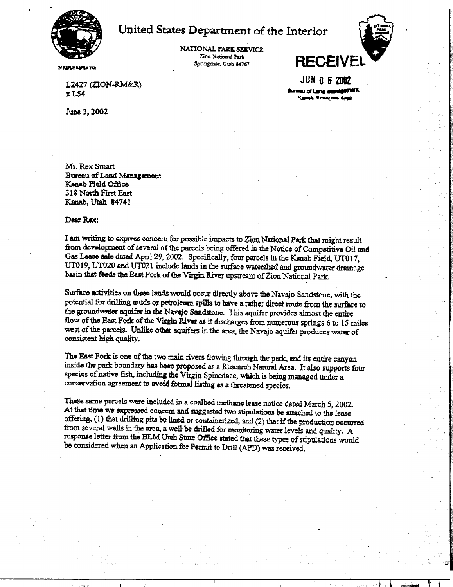

## United States Department of the Interior

NATIONAL PARK SERVICE Zion National Park Springdale, Utah 84767



**IM REPLY EARLY TEN** 

L2427 (ZION-RM&R)  $x$  L<sub>54</sub>

June 3, 2002

**JUN 0 6 2002** Shirman of Lang satisfactions. Caronh Winterstan Ama

Mr. Rex Smart Bureau of Land Management Kanab Pield Office 318 North First East Kanab, Utah 84741

Dear Rex:

I am writing to express concern for possible impacts to Zion National Park that might result from development of several of the parcels being offered in the Notice of Competitive Oil and Gas Lease sale dated April 29, 2002. Specifically, four parcels in the Kanab Field, UT017. UT019. UT020 and UT021 include lands in the surface watershed and groundwater drainage basin that feeds the East Fork of the Virgin River upstream of Zion National Park.

Surface activities on these lands would occur directly above the Navajo Sandstone, with the potential for drilling muds or petroleum spills to have a rather direct route from the surface to the groundwater aquifer in the Navajo Sandstone. This aquifer provides almost the entire flow of the East Fork of the Virgin River as it discharges from numerous springs 6 to 15 miles west of the parcels. Unlike other aquifers in the area, the Navajo aquifer produces water of consistent high quality.

The East Fork is one of the two main rivers flowing through the park, and its entire canyon inside the park boundary has been proposed as a Research Natural Area. It also supports four species of native fish, including the Virgin Spinedace, which is being managed under a conservation agreement to avoid formal listing as a threatened species.

These same parcels were included in a coalbed methane lease notice dated March 5, 2002. At that time we expressed concern and suggested two stipulations be attached to the lease offering, (1) that drilling pits be lined or containcrized, and (2) that if the production occurred from several wells in the area, a well be drilled for monitoring water levels and quality. A response letter from the BLM Utah State Office stated that these types of stipulations would be considered when an Application for Permit to Drill (APD) was received.